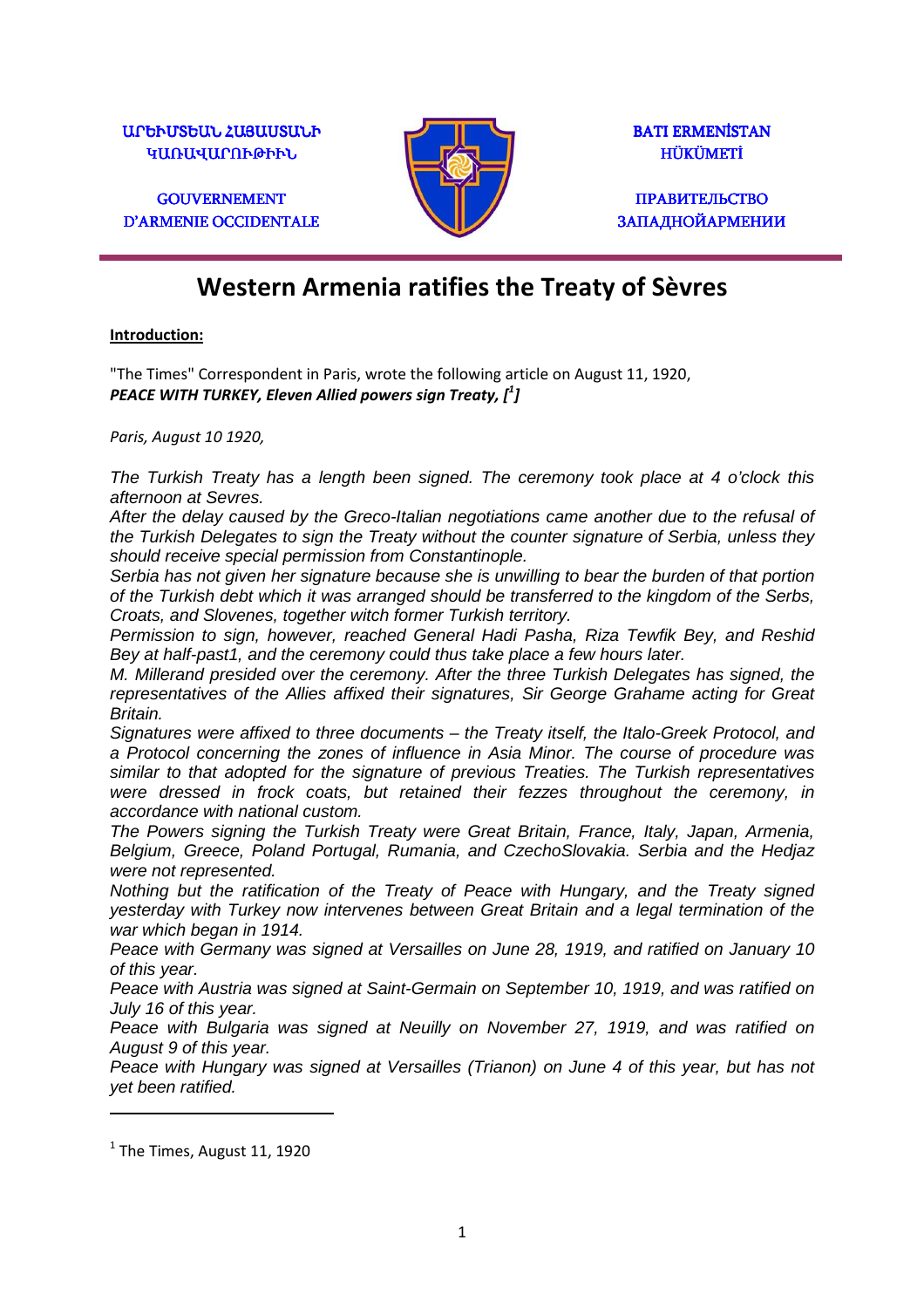$U$ ՐԵՒՄՏԵԱՆ ՀԱՅԱՄՏԱՆԻ ԿԱՌԱՎԱՐՈՒԹԻՒՆ

**GOUVERNEMENT** D'ARMENIE OCCIDENTALE



BATI ERMENİSTAN HÜKÜMETİ HÜKÜMETİ

ПРАВИТЕЛЬСТВО **ЗАПАДНОЙАРМЕНИИ** 

# **Western Armenia ratifies the Treaty of Sèvres**

#### **Introduction:**

"The Times" Correspondent in Paris, wrote the following article on August 11, 1920, *PEACE WITH TURKEY, Eleven Allied powers sign Treaty, [<sup>1</sup> ]* 

*Paris, August 10 1920,* 

The Turkish Treaty has a length been signed. The ceremony took place at 4 o'clock this afternoon at Sevres.

After the delay caused by the Greco-Italian negotiations came another due to the refusal of the Turkish Delegates to sign the Treaty without the counter signature of Serbia, unless they should receive special permission from Constantinople.

Serbia has not given her signature because she is unwilling to bear the burden of that portion of the Turkish debt which it was arranged should be transferred to the kingdom of the Serbs, Croats, and Slovenes, together witch former Turkish territory.

Permission to sign, however, reached General Hadi Pasha, Riza Tewfik Bey, and Reshid Bey at half-past1, and the ceremony could thus take place a few hours later.

M. Millerand presided over the ceremony. After the three Turkish Delegates has signed, the representatives of the Allies affixed their signatures, Sir George Grahame acting for Great Britain.

Signatures were affixed to three documents – the Treaty itself, the Italo-Greek Protocol, and a Protocol concerning the zones of influence in Asia Minor. The course of procedure was similar to that adopted for the signature of previous Treaties. The Turkish representatives were dressed in frock coats, but retained their fezzes throughout the ceremony, in accordance with national custom.

The Powers signing the Turkish Treaty were Great Britain, France, Italy, Japan, Armenia, Belgium, Greece, Poland Portugal, Rumania, and CzechoSlovakia. Serbia and the Hedjaz were not represented.

Nothing but the ratification of the Treaty of Peace with Hungary, and the Treaty signed yesterday with Turkey now intervenes between Great Britain and a legal termination of the war which began in 1914.

Peace with Germany was signed at Versailles on June 28, 1919, and ratified on January 10 of this year.

Peace with Austria was signed at Saint-Germain on September 10, 1919, and was ratified on July 16 of this year.

Peace with Bulgaria was signed at Neuilly on November 27, 1919, and was ratified on August 9 of this year.

Peace with Hungary was signed at Versailles (Trianon) on June 4 of this year, but has not yet been ratified.

l

 $<sup>1</sup>$  The Times, August 11, 1920</sup>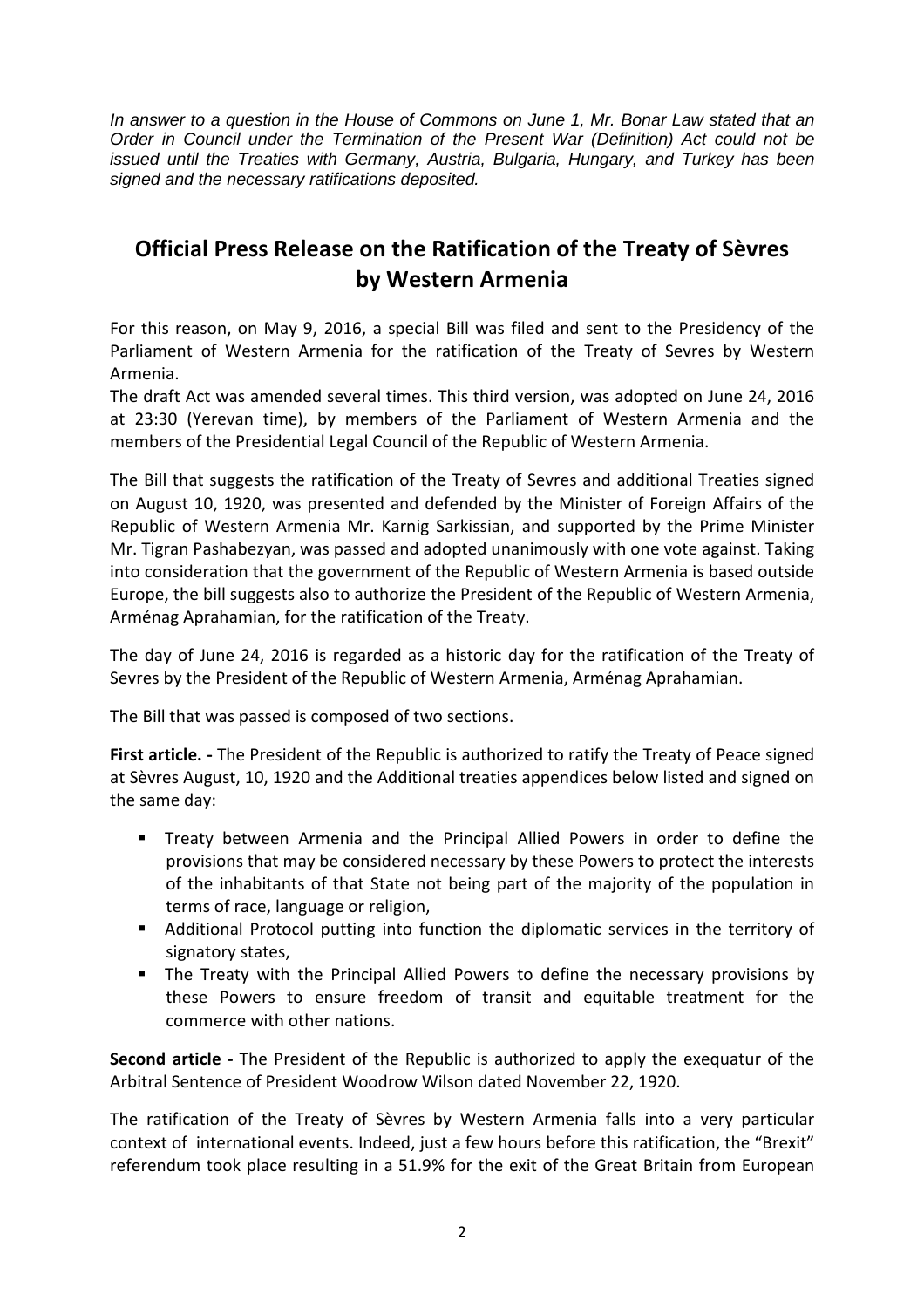In answer to a question in the House of Commons on June 1, Mr. Bonar Law stated that an Order in Council under the Termination of the Present War (Definition) Act could not be issued until the Treaties with Germany, Austria, Bulgaria, Hungary, and Turkey has been signed and the necessary ratifications deposited.

## **Official Press Release on the Ratification of the Treaty of Sèvres by Western Armenia**

For this reason, on May 9, 2016, a special Bill was filed and sent to the Presidency of the Parliament of Western Armenia for the ratification of the Treaty of Sevres by Western Armenia.

The draft Act was amended several times. This third version, was adopted on June 24, 2016 at 23:30 (Yerevan time), by members of the Parliament of Western Armenia and the members of the Presidential Legal Council of the Republic of Western Armenia.

The Bill that suggests the ratification of the Treaty of Sevres and additional Treaties signed on August 10, 1920, was presented and defended by the Minister of Foreign Affairs of the Republic of Western Armenia Mr. Karnig Sarkissian, and supported by the Prime Minister Mr. Tigran Pashabezyan, was passed and adopted unanimously with one vote against. Taking into consideration that the government of the Republic of Western Armenia is based outside Europe, the bill suggests also to authorize the President of the Republic of Western Armenia, Arménag Aprahamian, for the ratification of the Treaty.

The day of June 24, 2016 is regarded as a historic day for the ratification of the Treaty of Sevres by the President of the Republic of Western Armenia, Arménag Aprahamian.

The Bill that was passed is composed of two sections.

**First article. -** The President of the Republic is authorized to ratify the Treaty of Peace signed at Sèvres August, 10, 1920 and the Additional treaties appendices below listed and signed on the same day:

- Treaty between Armenia and the Principal Allied Powers in order to define the provisions that may be considered necessary by these Powers to protect the interests of the inhabitants of that State not being part of the majority of the population in terms of race, language or religion,
- Additional Protocol putting into function the diplomatic services in the territory of signatory states,
- The Treaty with the Principal Allied Powers to define the necessary provisions by these Powers to ensure freedom of transit and equitable treatment for the commerce with other nations.

**Second article -** The President of the Republic is authorized to apply the exequatur of the Arbitral Sentence of President Woodrow Wilson dated November 22, 1920.

The ratification of the Treaty of Sèvres by Western Armenia falls into a very particular context of international events. Indeed, just a few hours before this ratification, the "Brexit" referendum took place resulting in a 51.9% for the exit of the Great Britain from European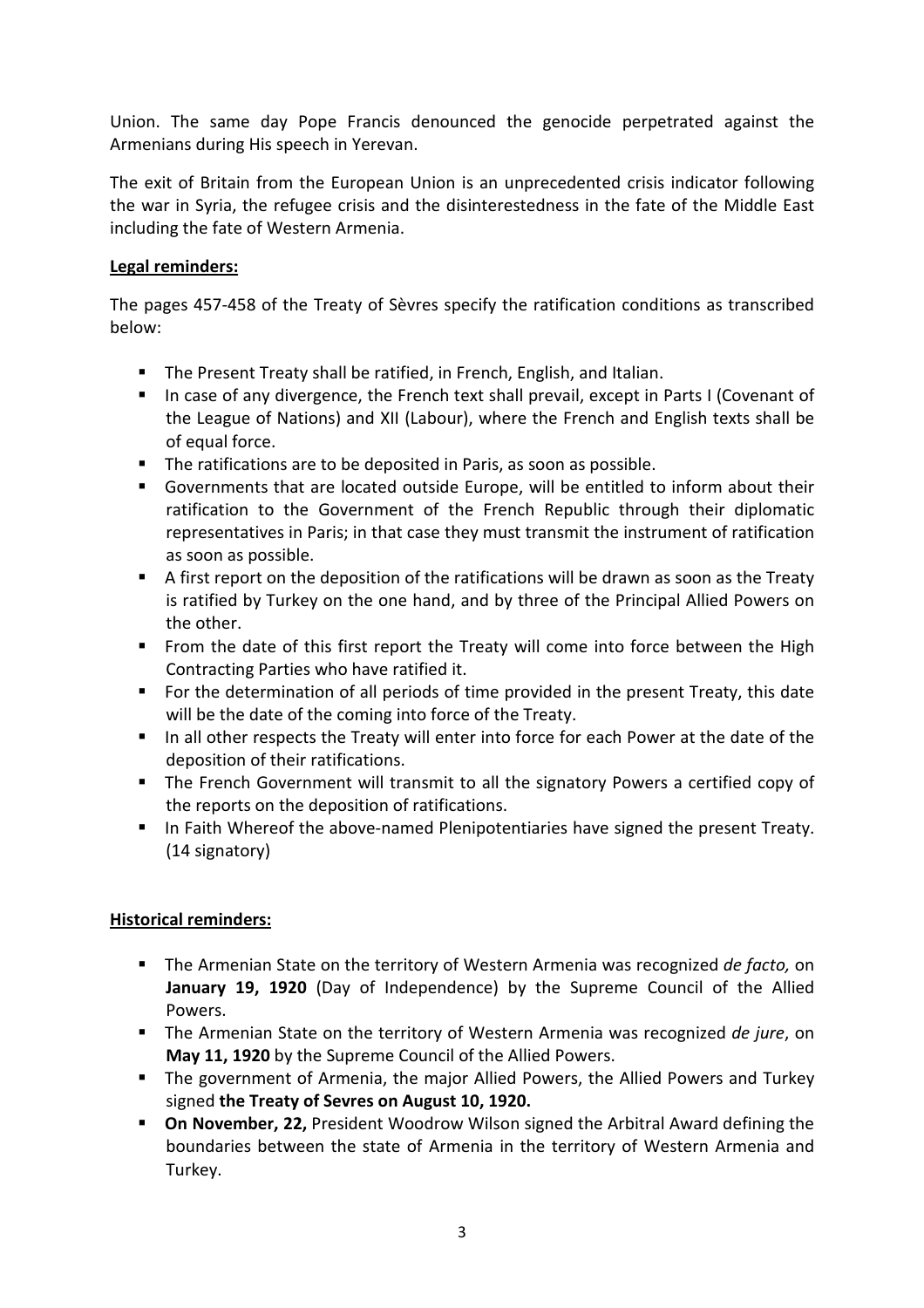Union. The same day Pope Francis denounced the genocide perpetrated against the Armenians during His speech in Yerevan.

The exit of Britain from the European Union is an unprecedented crisis indicator following the war in Syria, the refugee crisis and the disinterestedness in the fate of the Middle East including the fate of Western Armenia.

### **Legal reminders:**

The pages 457-458 of the Treaty of Sèvres specify the ratification conditions as transcribed below:

- **The Present Treaty shall be ratified, in French, English, and Italian.**
- In case of any divergence, the French text shall prevail, except in Parts I (Covenant of the League of Nations) and XII (Labour), where the French and English texts shall be of equal force.
- The ratifications are to be deposited in Paris, as soon as possible.
- Governments that are located outside Europe, will be entitled to inform about their ratification to the Government of the French Republic through their diplomatic representatives in Paris; in that case they must transmit the instrument of ratification as soon as possible.
- A first report on the deposition of the ratifications will be drawn as soon as the Treaty is ratified by Turkey on the one hand, and by three of the Principal Allied Powers on the other.
- From the date of this first report the Treaty will come into force between the High Contracting Parties who have ratified it.
- For the determination of all periods of time provided in the present Treaty, this date will be the date of the coming into force of the Treaty.
- In all other respects the Treaty will enter into force for each Power at the date of the deposition of their ratifications.
- **The French Government will transmit to all the signatory Powers a certified copy of** the reports on the deposition of ratifications.
- In Faith Whereof the above-named Plenipotentiaries have signed the present Treaty. (14 signatory)

### **Historical reminders:**

- The Armenian State on the territory of Western Armenia was recognized *de facto,* on **January 19, 1920** (Day of Independence) by the Supreme Council of the Allied Powers.
- The Armenian State on the territory of Western Armenia was recognized *de jure*, on **May 11, 1920** by the Supreme Council of the Allied Powers.
- **The government of Armenia, the major Allied Powers, the Allied Powers and Turkey** signed **the Treaty of Sevres on August 10, 1920.**
- **On November, 22,** President Woodrow Wilson signed the Arbitral Award defining the boundaries between the state of Armenia in the territory of Western Armenia and Turkey.